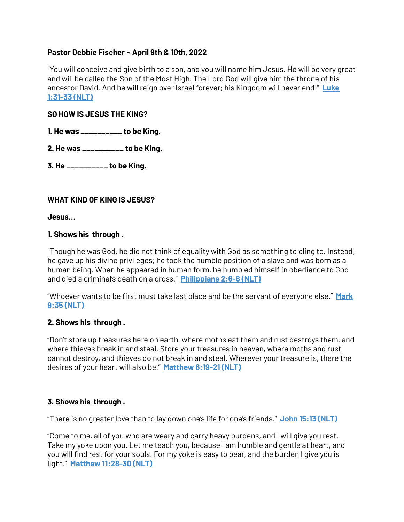## **Pastor Debbie Fischer ~ April 9th & 10th, 2022**

"You will conceive and give birth to a son, and you will name him Jesus. He will be very great and will be called the Son of the Most High. The Lord God will give him the throne of his ancestor David. And he will reign over Israel forever; his Kingdom will never end!" **[Luke](https://www.blueletterbible.org/search/preSearch.cfm?Criteria=Luke+1.31-33&t=NLT)  [1:31-33 \(NLT\)](https://www.blueletterbible.org/search/preSearch.cfm?Criteria=Luke+1.31-33&t=NLT)**

### **SO HOW IS JESUS THE KING?**

**1. He was \_\_\_\_\_\_\_\_\_\_ to be King.**

**2. He was \_\_\_\_\_\_\_\_\_\_ to be King.**

**3. He \_\_\_\_\_\_\_\_\_\_ to be King.**

## **WHAT KIND OF KING IS JESUS?**

**Jesus…**

## **1. Shows his through .**

"Though he was God, he did not think of equality with God as something to cling to. Instead, he gave up his divine privileges; he took the humble position of a slave and was born as a human being. When he appeared in human form, he humbled himself in obedience to God and died a criminal's death on a cross." **[Philippians 2:6-8 \(NLT\)](https://www.blueletterbible.org/search/preSearch.cfm?Criteria=Philippians+2.6-8&t=NLT)**

"Whoever wants to be first must take last place and be the servant of everyone else." **[Mark](https://www.blueletterbible.org/search/preSearch.cfm?Criteria=Mark+9.35&t=NLT)  [9:35 \(NLT\)](https://www.blueletterbible.org/search/preSearch.cfm?Criteria=Mark+9.35&t=NLT)**

#### **2. Shows his through .**

"Don't store up treasures here on earth, where moths eat them and rust destroys them, and where thieves break in and steal. Store your treasures in heaven, where moths and rust cannot destroy, and thieves do not break in and steal. Wherever your treasure is, there the desires of your heart will also be." **[Matthew 6:19-21 \(NLT\)](https://www.blueletterbible.org/search/preSearch.cfm?Criteria=Matthew+6.19-21&t=NLT)**

# **3. Shows his through .**

"There is no greater love than to lay down one's life for one's friends." **[John 15:13 \(NLT\)](https://www.blueletterbible.org/search/preSearch.cfm?Criteria=John+15.13&t=NLT)**

"Come to me, all of you who are weary and carry heavy burdens, and I will give you rest. Take my yoke upon you. Let me teach you, because I am humble and gentle at heart, and you will find rest for your souls. For my yoke is easy to bear, and the burden I give you is light." **[Matthew 11:28-30 \(NLT\)](https://www.blueletterbible.org/search/preSearch.cfm?Criteria=Matthew+11.28-30&t=NLT)**